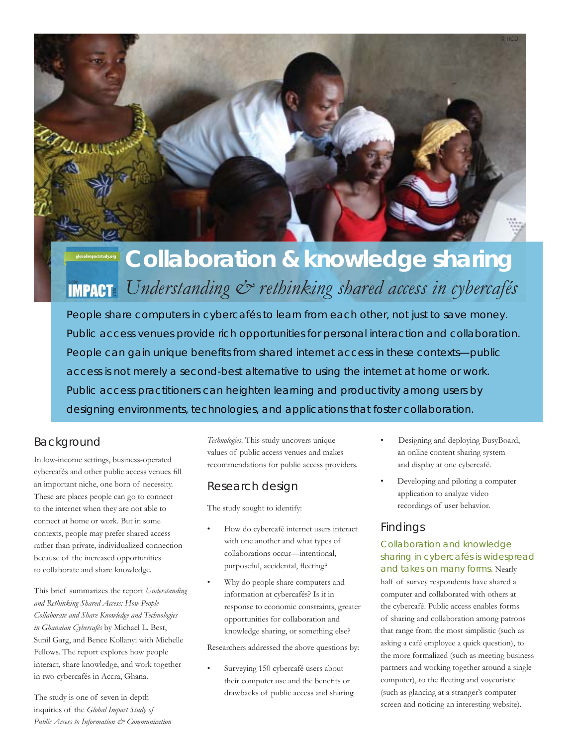

# **Collaboration & knowledge sharing** *Understanding & rethinking shared access in cybercafés***IMPACT**

People share computers in cybercafés to learn from each other, not just to save money. Public access venues provide rich opportunities for personal interaction and collaboration. People can gain unique benefits from shared internet access in these contexts—public access is not merely a second-best alternative to using the internet at home or work. Public access practitioners can heighten learning and productivity among users by designing environments, technologies, and applications that foster collaboration.

## Background

In low-income settings, business-operated cybercafés and other public access venues fill an important niche, one born of necessity. These are places people can go to connect to the internet when they are not able to connect at home or work. But in some contexts, people may prefer shared access rather than private, individualized connection because of the increased opportunities to collaborate and share knowledge.

This brief summarizes the report *Understanding and Rethinking Shared Access: How People Collaborate and Share Knowledge and Technologies in Ghanaian Cybercafés* by Michael L. Best, Sunil Garg, and Bence Kollanyi with Michelle Fellows. The report explores how people interact, share knowledge, and work together in two cybercafés in Accra, Ghana.

The study is one of seven in-depth inquiries of the *Global Impact Study of Public Access to Information & Communication*  *Technologies*. This study uncovers unique values of public access venues and makes recommendations for public access providers.

# Research design

The study sought to identify:

- How do cybercafé internet users interact with one another and what types of collaborations occur—intentional, purposeful, accidental, fleeting?
- Why do people share computers and information at cybercafés? Is it in response to economic constraints, greater opportunities for collaboration and knowledge sharing, or something else?

Researchers addressed the above questions by:

Surveying 150 cybercafé users about their computer use and the benefits or drawbacks of public access and sharing.

- Designing and deploying BusyBoard, an online content sharing system and display at one cybercafé.
- Developing and piloting a computer application to analyze video recordings of user behavior.

## Findings

Collaboration and knowledge sharing in cybercafés is widespread and takes on many forms. Nearly half of survey respondents have shared a computer and collaborated with others at the cybercafé. Public access enables forms of sharing and collaboration among patrons that range from the most simplistic (such as asking a café employee a quick question), to the more formalized (such as meeting business partners and working together around a single computer), to the fleeting and voyeuristic (such as glancing at a stranger's computer screen and noticing an interesting website).